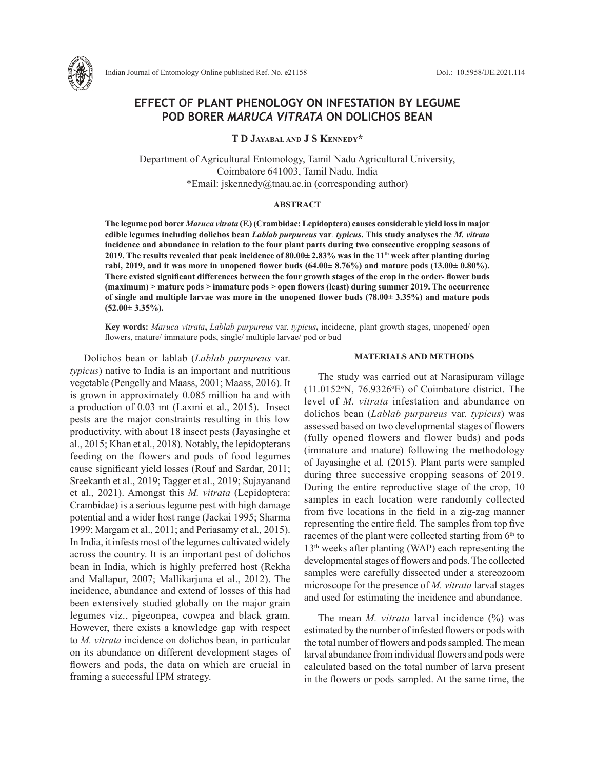

# **EFFECT OF PLANT PHENOLOGY ON INFESTATION BY LEGUME POD BORER** *MARUCA VITRATA* **ON DOLICHOS BEAN**

**T D Jayabal and J S Kennedy\***

Department of Agricultural Entomology, Tamil Nadu Agricultural University, Coimbatore 641003, Tamil Nadu, India \*Email: jskennedy@tnau.ac.in (corresponding author)

## **ABSTRACT**

**The legume pod borer** *Maruca vitrata* **(F.) (Crambidae: Lepidoptera) causes considerable yield loss in major edible legumes including dolichos bean** *Lablab purpureus* **var***. typicus***. This study analyses the** *M. vitrata* **incidence and abundance in relation to the four plant parts during two consecutive cropping seasons of 2019. The results revealed that peak incidence of 80.00± 2.83% was in the 11th week after planting during rabi, 2019, and it was more in unopened flower buds (64.00± 8.76%) and mature pods (13.00± 0.80%). There existed significant differences between the four growth stages of the crop in the order- flower buds (maximum) ˃ mature pods ˃ immature pods ˃ open flowers (least) during summer 2019. The occurrence of single and multiple larvae was more in the unopened flower buds (78.00± 3.35%) and mature pods (52.00± 3.35%).** 

**Key words:** *Maruca vitrata***,** *Lablab purpureus* var. *typicus***,** incidecne, plant growth stages, unopened/ open flowers, mature/ immature pods, single/ multiple larvae/ pod or bud

Dolichos bean or lablab (*Lablab purpureus* var. *typicus*) native to India is an important and nutritious vegetable (Pengelly and Maass, 2001; Maass, 2016). It is grown in approximately 0.085 million ha and with a production of 0.03 mt (Laxmi et al., 2015). Insect pests are the major constraints resulting in this low productivity, with about 18 insect pests (Jayasinghe et al., 2015; Khan et al., 2018). Notably, the lepidopterans feeding on the flowers and pods of food legumes cause significant yield losses (Rouf and Sardar, 2011; Sreekanth et al., 2019; Tagger et al., 2019; Sujayanand et al., 2021). Amongst this *M. vitrata* (Lepidoptera: Crambidae) is a serious legume pest with high damage potential and a wider host range (Jackai 1995; Sharma 1999; Margam et al., 2011; and Periasamy et al*.,* 2015). In India, it infests most of the legumes cultivated widely across the country. It is an important pest of dolichos bean in India, which is highly preferred host (Rekha and Mallapur, 2007; Mallikarjuna et al., 2012). The incidence, abundance and extend of losses of this had been extensively studied globally on the major grain legumes viz., pigeonpea, cowpea and black gram. However, there exists a knowledge gap with respect to *M. vitrata* incidence on dolichos bean, in particular on its abundance on different development stages of flowers and pods, the data on which are crucial in framing a successful IPM strategy.

### **MATERIALS AND METHODS**

The study was carried out at Narasipuram village  $(11.0152\text{°N}, 76.9326\text{°E})$  of Coimbatore district. The level of *M. vitrata* infestation and abundance on dolichos bean (*Lablab purpureus* var. *typicus*) was assessed based on two developmental stages of flowers (fully opened flowers and flower buds) and pods (immature and mature) following the methodology of Jayasinghe et al*.* (2015). Plant parts were sampled during three successive cropping seasons of 2019. During the entire reproductive stage of the crop, 10 samples in each location were randomly collected from five locations in the field in a zig-zag manner representing the entire field. The samples from top five racemes of the plant were collected starting from  $6<sup>th</sup>$  to  $13<sup>th</sup>$  weeks after planting (WAP) each representing the developmental stages of flowers and pods. The collected samples were carefully dissected under a stereozoom microscope for the presence of *M. vitrata* larval stages and used for estimating the incidence and abundance.

The mean *M. vitrata* larval incidence (%) was estimated by the number of infested flowers or pods with the total number of flowers and pods sampled. The mean larval abundance from individual flowers and pods were calculated based on the total number of larva present in the flowers or pods sampled. At the same time, the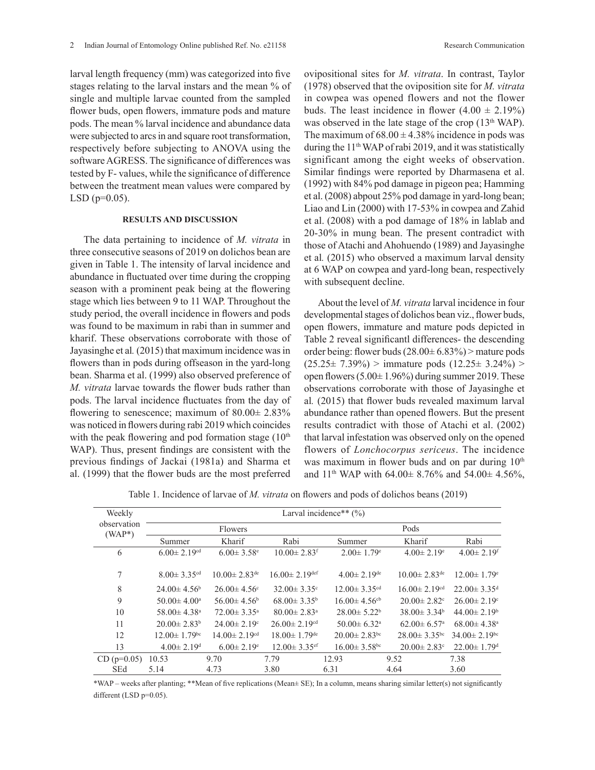larval length frequency (mm) was categorized into five stages relating to the larval instars and the mean % of single and multiple larvae counted from the sampled flower buds, open flowers, immature pods and mature pods. The mean % larval incidence and abundance data were subjected to arcs in and square root transformation, respectively before subjecting to ANOVA using the software AGRESS. The significance of differences was tested by F- values, while the significance of difference between the treatment mean values were compared by  $LSD$  ( $p=0.05$ ).

## **RESULTS AND DISCUSSION**

The data pertaining to incidence of *M. vitrata* in three consecutive seasons of 2019 on dolichos bean are given in Table 1. The intensity of larval incidence and abundance in fluctuated over time during the cropping season with a prominent peak being at the flowering stage which lies between 9 to 11 WAP. Throughout the study period, the overall incidence in flowers and pods was found to be maximum in rabi than in summer and kharif. These observations corroborate with those of Jayasinghe et al*.* (2015) that maximum incidence was in flowers than in pods during offseason in the yard-long bean. Sharma et al. (1999) also observed preference of *M. vitrata* larvae towards the flower buds rather than pods. The larval incidence fluctuates from the day of flowering to senescence; maximum of  $80.00\pm 2.83\%$ was noticed in flowers during rabi 2019 which coincides with the peak flowering and pod formation stage  $(10<sup>th</sup>)$ WAP). Thus, present findings are consistent with the previous findings of Jackai (1981a) and Sharma et al. (1999) that the flower buds are the most preferred

ovipositional sites for *M. vitrata*. In contrast, Taylor (1978) observed that the oviposition site for *M. vitrata* in cowpea was opened flowers and not the flower buds. The least incidence in flower  $(4.00 \pm 2.19\%)$ was observed in the late stage of the crop  $(13<sup>th</sup> WAP)$ . The maximum of  $68.00 \pm 4.38\%$  incidence in pods was during the 11th WAP of rabi 2019, and it was statistically significant among the eight weeks of observation. Similar findings were reported by Dharmasena et al. (1992) with 84% pod damage in pigeon pea; Hamming et al. (2008) abpout 25% pod damage in yard-long bean; Liao and Lin (2000) with 17-53% in cowpea and Zahid et al. (2008) with a pod damage of 18% in lablab and 20-30% in mung bean. The present contradict with those of Atachi and Ahohuendo (1989) and Jayasinghe et al*.* (2015) who observed a maximum larval density at 6 WAP on cowpea and yard-long bean, respectively with subsequent decline.

About the level of *M. vitrata* larval incidence in four developmental stages of dolichos bean viz., flower buds, open flowers, immature and mature pods depicted in Table 2 reveal significantl differences- the descending order being: flower buds  $(28.00 \pm 6.83\%)$  > mature pods  $(25.25 \pm 7.39\%)$  > immature pods  $(12.25 \pm 3.24\%)$  > open flowers  $(5.00 \pm 1.96\%)$  during summer 2019. These observations corroborate with those of Jayasinghe et al*.* (2015) that flower buds revealed maximum larval abundance rather than opened flowers. But the present results contradict with those of Atachi et al. (2002) that larval infestation was observed only on the opened flowers of *Lonchocorpus sericeus*. The incidence was maximum in flower buds and on par during  $10<sup>th</sup>$ and 11<sup>th</sup> WAP with 64.00 $\pm$  8.76% and 54.00 $\pm$  4.56%,

Table 1. Incidence of larvae of *M. vitrata* on flowers and pods of dolichos beans (2019)

| Weekly                  | Larval incidence** $(\% )$     |                                |                                |                                |                                |                                |  |  |  |
|-------------------------|--------------------------------|--------------------------------|--------------------------------|--------------------------------|--------------------------------|--------------------------------|--|--|--|
| observation<br>$(WAP*)$ |                                | Flowers                        |                                | Pods                           |                                |                                |  |  |  |
|                         | Summer                         | Kharif                         | Rabi                           | Summer                         | Kharif                         | Rabi                           |  |  |  |
| 6                       | $6.00 \pm 2.19$ <sup>cd</sup>  | $6.00 \pm 3.58$ <sup>e</sup>   | $10.00 \pm 2.83$ <sup>f</sup>  | $2.00 \pm 1.79$ <sup>e</sup>   | $4.00 \pm 2.19$ <sup>e</sup>   | $4.00 \pm 2.19$ <sup>f</sup>   |  |  |  |
|                         |                                |                                |                                |                                |                                |                                |  |  |  |
| 7                       | $8.00 \pm 3.35$ <sup>cd</sup>  | $10.00 \pm 2.83$ <sup>de</sup> | $16.00 \pm 2.19$ def           | $4.00 \pm 2.19$ <sup>de</sup>  | $10.00 \pm 2.83$ <sup>de</sup> | $12.00 \pm 1.79$ <sup>e</sup>  |  |  |  |
| 8                       | $24.00 \pm 4.56^b$             | $26.00 \pm 4.56$ °             | $32.00 \pm 3.35$ °             | $12.00 \pm 3.35$ <sup>cd</sup> | $16.00 \pm 2.19$ <sup>cd</sup> | $22.00 \pm 3.35$ <sup>d</sup>  |  |  |  |
| 9                       | $50.00 \pm 4.00^a$             | $56.00 \pm 4.56^b$             | $68.00 \pm 3.35^{\rm b}$       | $16.00 \pm 4.56$ <sup>cb</sup> | $20.00 \pm 2.82$ <sup>c</sup>  | $26.00 \pm 2.19$ <sup>c</sup>  |  |  |  |
| 10                      | $58.00 \pm 4.38$ <sup>a</sup>  | $72.00 \pm 3.35^{\text{a}}$    | $80.00 \pm 2.83$ <sup>a</sup>  | $28.00 \pm 5.22^b$             | $38.00 \pm 3.34^b$             | $44.00 \pm 2.19^{\rm b}$       |  |  |  |
| 11                      | $20.00 \pm 2.83^b$             | $24.00 \pm 2.19$ °             | $26.00 \pm 2.19$ <sup>cd</sup> | $50.00 \pm 6.32$ <sup>a</sup>  | $62.00 \pm 6.57$ <sup>a</sup>  | $68.00 \pm 4.38$ <sup>a</sup>  |  |  |  |
| 12                      | $12.00 \pm 1.79$ <sup>bc</sup> | $14.00 \pm 2.19$ <sup>cd</sup> | $18.00 \pm 1.79$ <sup>de</sup> | $20.00 \pm 2.83$ <sup>bc</sup> | $28.00 \pm 3.35$ <sup>bc</sup> | $34.00 \pm 2.19$ <sup>bc</sup> |  |  |  |
| 13                      | $4.00 \pm 2.19$ <sup>d</sup>   | $6.00 \pm 2.19$ <sup>e</sup>   | $12.00 \pm 3.35$ <sup>ef</sup> | $16.00 \pm 3.58$ <sup>bc</sup> | $20.00 \pm 2.83$ <sup>c</sup>  | $22.00 \pm 1.79$ <sup>d</sup>  |  |  |  |
| $CD (p=0.05)$           | 10.53                          | 9.70                           | 7.79                           | 12.93                          | 9.52                           | 7.38                           |  |  |  |
| <b>SEd</b>              | 5.14                           | 4.73                           | 3.80                           | 6.31                           | 4.64                           | 3.60                           |  |  |  |

\*WAP – weeks after planting; \*\*Mean of five replications (Mean± SE); In a column, means sharing similar letter(s) not significantly different (LSD p=0.05).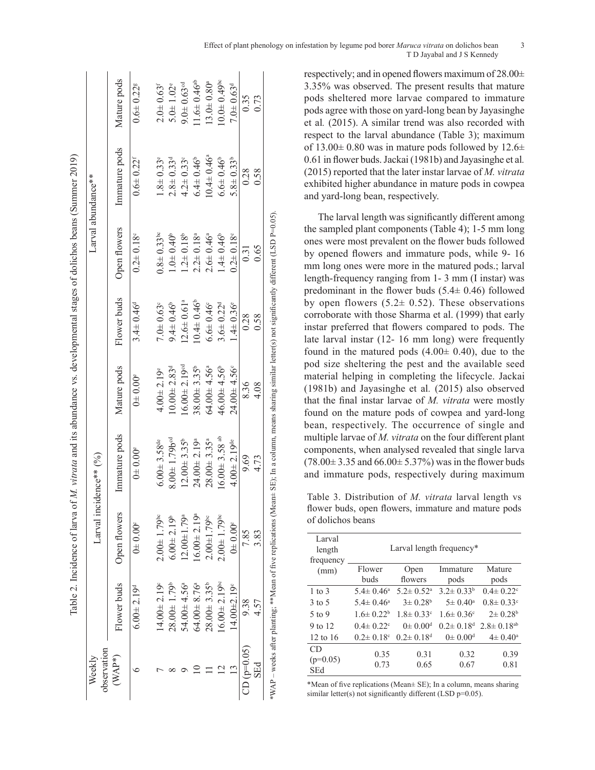| observation<br>Weekly |                                |                               | Larval incidence** $(96)$                                                                                                                                 |                               |                             |                             | Larval abundance**          |                              |
|-----------------------|--------------------------------|-------------------------------|-----------------------------------------------------------------------------------------------------------------------------------------------------------|-------------------------------|-----------------------------|-----------------------------|-----------------------------|------------------------------|
| $(\text{WAP*})$       | Flower buds                    | Open flowers                  | Immature pods                                                                                                                                             | Mature pods                   | Flower buds                 | Open flowers                | Immature pods               | Mature pods                  |
|                       | $6.00 \pm 2.19$ <sup>d</sup>   | 0.006                         | $0.00^{\circ}$                                                                                                                                            | $0.00^{\circ}$                | $3.4 \pm 0.46^d$            | $0.2 \pm 0.18$              | $0.6 \pm 0.22$ <sup>r</sup> | $0.6 + 0.22$ <sup>s</sup>    |
|                       | $14.00 + 2.19$                 | $2.00 \pm 1.79$ <sup>bc</sup> | $6.00 \pm 3.58$ <sup>de</sup>                                                                                                                             | $4.00 \pm 2.19$ <sup>e</sup>  | $7.0 + 0.63$ °              | $0.8 + 0.33$ bc             | $1.8 \pm 0.33$ <sup>e</sup> | $2.0 + 0.63$ <sup>f</sup>    |
|                       | $28.00 \pm 1.79^b$             | $5.00 \pm 2.19^{\circ}$       | $8.00 + 1.79$ b <sup>od</sup>                                                                                                                             | $10.00 + 2.83d$               | $9.4 \pm 0.46$ <sup>6</sup> | $1.0 + 0.40^{\circ}$        | $2.8 \pm 0.33$ <sup>d</sup> | $5.0 \pm 1.02$ <sup>e</sup>  |
|                       | $54.00 + 4.56^a$               | $12.00 \pm 1.79$ <sup>a</sup> | $12.00 + 3.35^b$                                                                                                                                          | $6.00 \pm 2.19$ <sup>od</sup> | $12.6 \pm 0.61^a$           | $1.2 \pm 0.18^b$            | $4.2 \pm 0.33$ °            | $9.0 \pm 0.63$ <sup>od</sup> |
|                       | $64.00 \pm 8.76^{\circ}$       | $16.00 \pm 2.19^{\circ}$      | $24.00 \pm 2.19^{\circ}$                                                                                                                                  | $38.00 \pm 3.35^{\circ}$      | $0.4 \pm 0.46^{\circ}$      | $2.2 \pm 0.18^a$            | $6.4 \pm 0.46$ <sup>6</sup> | $1.6 \pm 0.46$ <sup>ab</sup> |
|                       | $28.00 \pm 3.35^b$             | $2.00 + 1.79$ <sup>bc</sup>   | $28.00 \pm 3.35$ <sup>a</sup>                                                                                                                             | $64.00 \pm 4.56^{\circ}$      | $6.6 \pm 0.46^{\circ}$      | $2.6 \pm 0.46^a$            | $0.4 \pm 0.46^{\circ}$      | $13.0 \pm 0.80$ <sup>a</sup> |
|                       | $16.00 \pm 2.19$ <sup>bc</sup> | $2.00 \pm 1.79$ bc            | $16.00 \pm 3.58$ <sup>ab</sup>                                                                                                                            | 46.00 $\pm$ 4.56 <sup>b</sup> | $3.6 \pm 0.22^{\circ}$      | $1.4 \pm 0.46$ <sup>6</sup> | $6.6 \pm 0.46^{\circ}$      | $0.049^{\circ}$              |
|                       | $14.00 \pm 2.19$ <sup>c</sup>  | $0.00^{\circ}$                | $4.00 \pm 2.19$ <sup>de</sup>                                                                                                                             | $24.00 + 4.56$                | $1.4 \pm 0.36^{\circ}$      | $0.2 \pm 0.18$ <sup>c</sup> | $5.8 \pm 0.33^b$            | $7.0 \pm 0.63$ <sup>d</sup>  |
| $CD (p=0.05)$         | 938                            | 7.85                          | 9.69                                                                                                                                                      | 836                           | 0.28                        | 0.31                        | 0.28                        | 0.35                         |
| SEd                   | 4.57                           | 3.83                          | 4.73                                                                                                                                                      | 4.08                          | 0.58                        | 0.65                        | 0.58                        | 0.73                         |
|                       |                                |                               | WAP – weeks after planting; **Mean of five replications (Mean± SE); In a column, means sharing similar letter(s) not significantly different (LSD P=0.05) |                               |                             |                             |                             |                              |

respectively; and in opened flowers maximum of 28.00± 3.35% was observed. The present results that mature pods sheltered more larvae compared to immature pods agree with those on yard-long bean by Jayasinghe et al*.* (2015). A similar trend was also recorded with respect to the larval abundance (Table 3); maximum of  $13.00\pm 0.80$  was in mature pods followed by  $12.6\pm$ 0.61 in flower buds. Jackai (1981b) and Jayasinghe et al*.* (2015) reported that the later instar larvae of *M. vitrata* exhibited higher abundance in mature pods in cowpea and yard-long bean, respectively.

The larval length was significantly different among the sampled plant components (Table 4); 1-5 mm long ones were most prevalent on the flower buds followed by opened flowers and immature pods, while 9- 16 mm long ones were more in the matured pods.; larval length-frequency ranging from 1- 3 mm (I instar) was predominant in the flower buds  $(5.4 \pm 0.46)$  followed by open flowers  $(5.2 \pm 0.52)$ . These observations corroborate with those Sharma et al. (1999) that early instar preferred that flowers compared to pods. The late larval instar (12- 16 mm long) were frequently found in the matured pods  $(4.00 \pm 0.40)$ , due to the pod size sheltering the pest and the available seed material helping in completing the lifecycle. Jackai (1981b) and Jayasinghe et al*.* (2015) also observed that the final instar larvae of *M. vitrata* were mostly found on the mature pods of cowpea and yard-long bean, respectively. The occurrence of single and multiple larvae of *M. vitrata* on the four different plant components, when analysed revealed that single larva  $(78.00 \pm 3.35 \text{ and } 66.00 \pm 5.37\%)$  was in the flower buds and immature pods, respectively during maximum

Table 3. Distribution of *M. vitrata* larval length vs flower buds, open flowers, immature and mature pods of dolichos beans

| Larval              |                             |                             |                             |                             |  |  |  |  |
|---------------------|-----------------------------|-----------------------------|-----------------------------|-----------------------------|--|--|--|--|
| length              | Larval length frequency*    |                             |                             |                             |  |  |  |  |
| frequency           |                             |                             |                             |                             |  |  |  |  |
| (mm)                | Flower                      | Open                        | Immature                    | Mature                      |  |  |  |  |
|                     | buds                        | flowers                     | pods                        | pods                        |  |  |  |  |
| $1 \text{ to } 3$   | $5.4 \pm 0.46^a$            | $5.2 \pm 0.52$ <sup>a</sup> | $3.2 \pm 0.33^b$            | $0.4 \pm 0.22$ <sup>c</sup> |  |  |  |  |
| $3 \text{ to } 5$   | $5.4 \pm 0.46^a$            | $3\pm 0.28^{\rm b}$         | $5 \pm 0.40^{\circ}$        | $0.8 \pm 0.33$ <sup>c</sup> |  |  |  |  |
| $5$ to 9            | $1.6 \pm 0.22^b$            | $1.8 \pm 0.33$ <sup>c</sup> | $1.6 \pm 0.36$ <sup>c</sup> | $2\pm 0.28^{\rm b}$         |  |  |  |  |
| 9 to 12             | $0.4 \pm 0.22$ °            | $0 \pm 0.00$ <sup>d</sup>   | $0.2 \pm 0.18$ <sup>d</sup> | $2.8 \pm 0.18^{ab}$         |  |  |  |  |
| $12 \text{ to } 16$ | $0.2 \pm 0.18$ <sup>c</sup> | $0.2 \pm 0.18$ <sup>d</sup> | $0 \pm 0.00$ <sup>d</sup>   | $4\pm 0.40^{\circ}$         |  |  |  |  |
| CD                  | 0.35                        | 0.31                        | 0.32                        | 0.39                        |  |  |  |  |
| $(p=0.05)$          |                             |                             |                             |                             |  |  |  |  |
| SEd                 | 0.73                        | 0.65                        | 0.67                        | 0.81                        |  |  |  |  |

\*Mean of five replications (Mean± SE); In a column, means sharing similar letter(s) not significantly different (LSD p=0.05).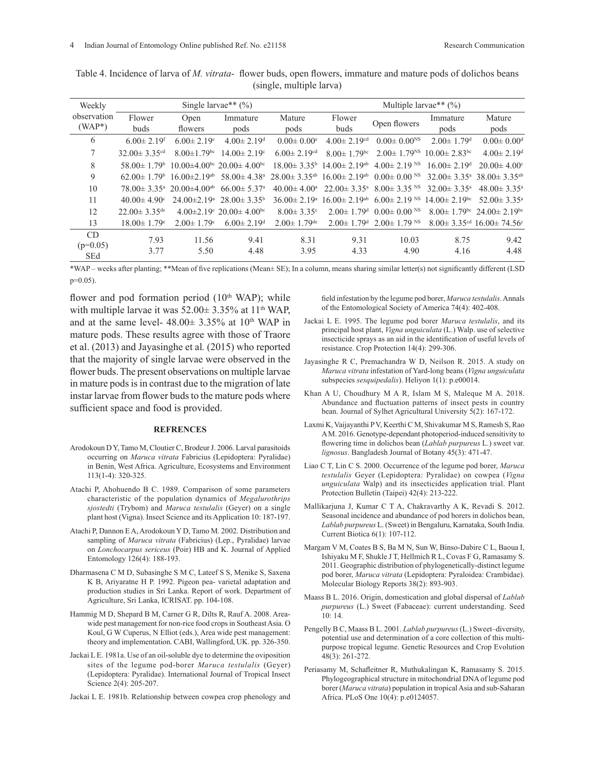| Weekly      |                                |                                                          | Single larvae** $(\% )$                              |                               |                                                               | Multiple larvae** $(\% )$                                |                                |                                                              |
|-------------|--------------------------------|----------------------------------------------------------|------------------------------------------------------|-------------------------------|---------------------------------------------------------------|----------------------------------------------------------|--------------------------------|--------------------------------------------------------------|
| observation | Flower                         | Open                                                     | Immature                                             | Mature                        | Flower                                                        | Open flowers                                             | Immature                       | Mature                                                       |
| $(WAP*)$    | buds                           | flowers                                                  | pods                                                 | pods                          | buds                                                          |                                                          | pods                           | pods                                                         |
| 6           | $6.00 \pm 2.19$ <sup>f</sup>   | $6.00 \pm 2.19$ <sup>c</sup>                             | $4.00 \pm 2.19$ <sup>d</sup>                         | $0.00 \pm 0.00^{\circ}$       | $4.00 \pm 2.19$ <sup>cd</sup>                                 | $0.00 \pm 0.00$ <sup>NS</sup>                            | $2.00 \pm 1.79$ <sup>d</sup>   | $0.00 \pm 0.00$ <sup>d</sup>                                 |
|             | 32.00 $\pm$ 3.35 <sup>cd</sup> | $8.00 \pm 1.79$ <sup>bc</sup>                            | $14.00 \pm 2.19$ <sup>c</sup>                        | $6.00 \pm 2.19$ <sup>cd</sup> | $8.00 \pm 1.79$ <sup>bc</sup>                                 | $2.00 \pm 1.79$ <sup>NS</sup>                            | $10.00 \pm 2.83$ <sup>bc</sup> | $4.00 \pm 2.19$ <sup>d</sup>                                 |
| 8           | $58.00 \pm 1.79$ <sup>b</sup>  |                                                          | $10.00\pm4.00^{bc}$ 20.00 $\pm$ 4.00 <sup>bc</sup>   |                               | $18.00 \pm 3.35^{\circ}$ 14.00 $\pm 2.19^{\circ}$             | $4.00 \pm 2.19$ NS                                       | $16.00 \pm 2.19$ <sup>d</sup>  | $20.00 \pm 4.00^{\circ}$                                     |
| 9           | 62.00 $\pm$ 1.79 <sup>b</sup>  | $16.00 \pm 2.19$ <sup>ab</sup>                           | 58.00 $\pm$ 4.38 <sup>a</sup>                        |                               | $28.00 \pm 3.35$ <sup>ab</sup> $16.00 \pm 2.19$ <sup>ab</sup> | $0.00 \pm 0.00$ NS                                       |                                | $32.00 \pm 3.35^{\text{a}}$ 38.00 $\pm 3.35^{\text{ab}}$     |
| 10          |                                | $78.00 \pm 3.35^{\text{a}}$ 20.00 $\pm 4.00^{\text{ab}}$ | $66.00 \pm 5.37$ <sup>a</sup>                        | $40.00 \pm 4.00^{\circ}$      | $22.00 \pm 3.35^{\circ}$                                      | $8.00 \pm 3.35$ NS                                       | $32.00 \pm 3.35^{\circ}$       | $48.00 \pm 3.35^{\circ}$                                     |
| 11          | $40.00 \pm 4.90^{\circ}$       | $24.00 \pm 2.19$ <sup>a</sup>                            | $28.00 \pm 3.35^{\circ}$                             | $36.00 \pm 2.19^{\circ}$      | $16.00 \pm 2.19$ <sup>ab</sup>                                | $6.00 \pm 2.19$ NS                                       | $14.00 \pm 2.19$ <sup>bc</sup> | 52.00 $\pm$ 3.35 <sup>a</sup>                                |
| 12          | $22.00 \pm 3.35$ <sup>de</sup> |                                                          | $4.00\pm2.19^{\circ}$ 20.00 $\pm$ 4.00 <sup>bc</sup> | $8.00 \pm 3.35$ <sup>c</sup>  |                                                               | $2.00\pm 1.79$ <sup>d</sup> $0.00\pm 0.00$ <sup>NS</sup> |                                | $8.00 \pm 1.79$ <sup>bc</sup> 24.00 $\pm 2.19$ <sup>bc</sup> |
| 13          | $18.00 \pm 1.79$ <sup>e</sup>  | $2.00 \pm 1.79$ <sup>c</sup>                             | $6.00 \pm 2.19$ <sup>d</sup>                         | $2.00 \pm 1.79$ <sup>de</sup> |                                                               | $2.00\pm 1.79$ <sup>d</sup> $2.00\pm 1.79$ <sup>NS</sup> |                                | $8.00 \pm 3.35$ <sup>cd</sup> 16.00 $\pm 74.56$ <sup>c</sup> |
| CD          | 7.93                           | 11.56                                                    | 9.41                                                 | 8.31                          | 9.31                                                          | 10.03                                                    | 8.75                           | 9.42                                                         |
| $(p=0.05)$  | 3.77                           | 5.50                                                     | 4.48                                                 | 3.95                          | 4.33                                                          | 4.90                                                     | 4.16                           | 4.48                                                         |
| <b>SEd</b>  |                                |                                                          |                                                      |                               |                                                               |                                                          |                                |                                                              |

Table 4. Incidence of larva of *M. vitrata*- flower buds, open flowers, immature and mature pods of dolichos beans (single, multiple larva)

\*WAP – weeks after planting; \*\*Mean of five replications (Mean± SE); In a column, means sharing similar letter(s) not significantly different (LSD p=0.05).

flower and pod formation period  $(10<sup>th</sup> WAP)$ ; while with multiple larvae it was  $52.00 \pm 3.35\%$  at 11<sup>th</sup> WAP, and at the same level-  $48.00 \pm 3.35\%$  at  $10^{th}$  WAP in mature pods. These results agree with those of Traore et al. (2013) and Jayasinghe et al*.* (2015) who reported that the majority of single larvae were observed in the flower buds. The present observations on multiple larvae in mature pods is in contrast due to the migration of late instar larvae from flower buds to the mature pods where sufficient space and food is provided.

#### **REFRENCES**

- Arodokoun D Y, Tamo M, Cloutier C, Brodeur J. 2006. Larval parasitoids occurring on *Maruca vitrata* Fabricius (Lepidoptera: Pyralidae) in Benin, West Africa. Agriculture, Ecosystems and Environment 113(1-4): 320-325.
- Atachi P, Ahohuendo B C. 1989. Comparison of some parameters characteristic of the population dynamics of *Megalurothrips sjostedti* (Trybom) and *Maruca testulalis* (Geyer) on a single plant host (Vigna). Insect Science and its Application 10: 187-197.
- Atachi P, Dannon E A, Arodokoun Y D, Tamo M. 2002. Distribution and sampling of *Maruca vitrata* (Fabricius) (Lep., Pyralidae) larvae on *Lonchocarpus sericeus* (Poir) HB and K. Journal of Applied Entomology 126(4): 188-193.
- Dharmasena C M D, Subasinghe S M C, Lateef S S, Menike S, Saxena K B, Ariyaratne H P. 1992. Pigeon pea- varietal adaptation and production studies in Sri Lanka. Report of work. Department of Agriculture, Sri Lanka, ICRISAT. pp. 104-108.
- Hammig M D, Shepard B M, Carner G R, Dilts R, Rauf A. 2008. Areawide pest management for non-rice food crops in Southeast Asia. O Koul, G W Cuperus, N Elliot (eds.), Area wide pest management: theory and implementation. CABI, Wallingford, UK. pp. 326-350.
- Jackai L E. 1981a. Use of an oil-soluble dye to determine the oviposition sites of the legume pod-borer *Maruca testulalis* (Geyer) (Lepidoptera: Pyralidae). International Journal of Tropical Insect Science 2(4): 205-207.
- Jackai L E. 1981b. Relationship between cowpea crop phenology and

field infestation by the legume pod borer, *Maruca testulalis*. Annals of the Entomological Society of America 74(4): 402-408.

- Jackai L E. 1995. The legume pod borer *Maruca testulalis*, and its principal host plant, *Vigna unguiculata* (L.) Walp. use of selective insecticide sprays as an aid in the identification of useful levels of resistance. Crop Protection 14(4): 299-306.
- Jayasinghe R C, Premachandra W D, Neilson R. 2015. A study on *Maruca vitrata* infestation of Yard-long beans (*Vigna unguiculata* subspecies *sesquipedalis*). Heliyon 1(1): p.e00014.
- Khan A U, Choudhury M A R, Islam M S, Maleque M A. 2018. Abundance and fluctuation patterns of insect pests in country bean. Journal of Sylhet Agricultural University 5(2): 167-172.
- Laxmi K, Vaijayanthi P V, Keerthi C M, Shivakumar M S, Ramesh S, Rao A M. 2016. Genotype-dependant photoperiod-induced sensitivity to flowering time in dolichos bean (*Lablab purpureus* L.) sweet var. *lignosus*. Bangladesh Journal of Botany 45(3): 471-47.
- Liao C T, Lin C S. 2000. Occurrence of the legume pod borer, *Maruca testulalis* Geyer (Lepidoptera: Pyralidae) on cowpea (*Vigna unguiculata* Walp) and its insecticides application trial. Plant Protection Bulletin (Taipei) 42(4): 213-222.
- Mallikarjuna J, Kumar C T A, Chakravarthy A K, Revadi S. 2012. Seasonal incidence and abundance of pod borers in dolichos bean, *Lablab purpureus* L. (Sweet) in Bengaluru, Karnataka, South India. Current Biotica 6(1): 107-112.
- Margam V M, Coates B S, Ba M N, Sun W, Binso-Dabire C L, Baoua I, Ishiyaku M F, Shukle J T, Hellmich R L, Covas F G, Ramasamy S. 2011. Geographic distribution of phylogenetically-distinct legume pod borer, *Maruca vitrata* (Lepidoptera: Pyraloidea: Crambidae). Molecular Biology Reports 38(2): 893-903.
- Maass B L. 2016. Origin, domestication and global dispersal of *Lablab purpureus* (L.) Sweet (Fabaceae): current understanding. Seed 10: 14.
- Pengelly B C, Maass B L. 2001. *Lablab purpureus* (L.) Sweet–diversity, potential use and determination of a core collection of this multipurpose tropical legume. Genetic Resources and Crop Evolution 48(3): 261-272.
- Periasamy M, Schafleitner R, Muthukalingan K, Ramasamy S. 2015. Phylogeographical structure in mitochondrial DNA of legume pod borer (*Maruca vitrata*) population in tropical Asia and sub-Saharan Africa. PLoS One 10(4): p.e0124057.